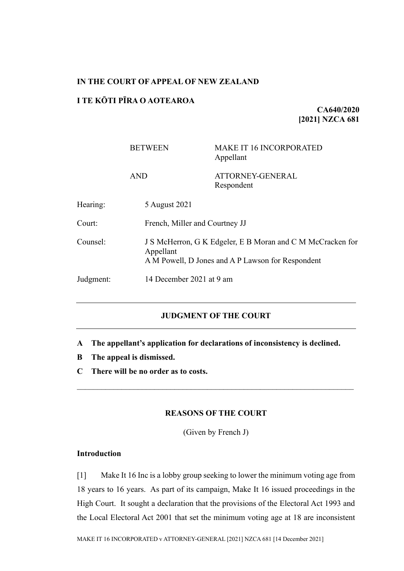## **IN THE COURT OF APPEAL OF NEW ZEALAND**

# **I TE KŌTI PĪRA O AOTEAROA**

**CA640/2020 [2021] NZCA 681**

|           | <b>BETWEEN</b>                                                                                                               | <b>MAKE IT 16 INCORPORATED</b><br>Appellant |
|-----------|------------------------------------------------------------------------------------------------------------------------------|---------------------------------------------|
|           | <b>AND</b>                                                                                                                   | ATTORNEY-GENERAL<br>Respondent              |
| Hearing:  | 5 August 2021                                                                                                                |                                             |
| Court:    | French, Miller and Courtney JJ                                                                                               |                                             |
| Counsel:  | J S McHerron, G K Edgeler, E B Moran and C M McCracken for<br>Appellant<br>A M Powell, D Jones and A P Lawson for Respondent |                                             |
| Judgment: | 14 December 2021 at 9 am                                                                                                     |                                             |

# **JUDGMENT OF THE COURT**

- **A The appellant's application for declarations of inconsistency is declined.**
- **B The appeal is dismissed.**
- **C There will be no order as to costs.**

## **REASONS OF THE COURT**

(Given by French J)

# **Introduction**

[1] Make It 16 Inc is a lobby group seeking to lower the minimum voting age from 18 years to 16 years. As part of its campaign, Make It 16 issued proceedings in the High Court. It sought a declaration that the provisions of the Electoral Act 1993 and the Local Electoral Act 2001 that set the minimum voting age at 18 are inconsistent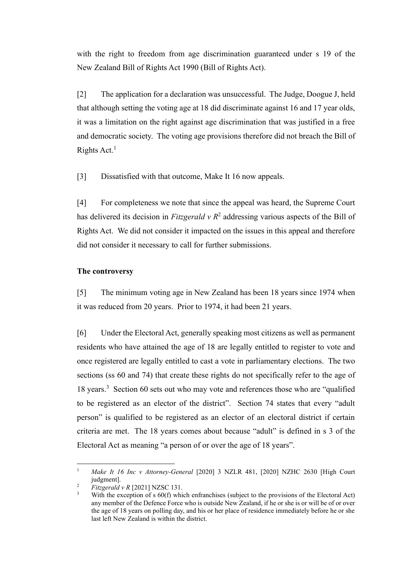with the right to freedom from age discrimination guaranteed under s 19 of the New Zealand Bill of Rights Act 1990 (Bill of Rights Act).

[2] The application for a declaration was unsuccessful. The Judge, Doogue J, held that although setting the voting age at 18 did discriminate against 16 and 17 year olds, it was a limitation on the right against age discrimination that was justified in a free and democratic society. The voting age provisions therefore did not breach the Bill of Rights Act.<sup>1</sup>

<span id="page-1-1"></span>[3] Dissatisfied with that outcome, Make It 16 now appeals.

<span id="page-1-0"></span>[4] For completeness we note that since the appeal was heard, the Supreme Court has delivered its decision in *Fitzgerald*  $v R<sup>2</sup>$  addressing various aspects of the Bill of Rights Act. We did not consider it impacted on the issues in this appeal and therefore did not consider it necessary to call for further submissions.

#### **The controversy**

[5] The minimum voting age in New Zealand has been 18 years since 1974 when it was reduced from 20 years. Prior to 1974, it had been 21 years.

[6] Under the Electoral Act, generally speaking most citizens as well as permanent residents who have attained the age of 18 are legally entitled to register to vote and once registered are legally entitled to cast a vote in parliamentary elections. The two sections (ss 60 and 74) that create these rights do not specifically refer to the age of 18 years.<sup>3</sup> Section 60 sets out who may vote and references those who are "qualified to be registered as an elector of the district". Section 74 states that every "adult person" is qualified to be registered as an elector of an electoral district if certain criteria are met. The 18 years comes about because "adult" is defined in s 3 of the Electoral Act as meaning "a person of or over the age of 18 years".

<sup>1</sup> *Make It 16 Inc v Attorney-General* [2020] 3 NZLR 481, [2020] NZHC 2630 [High Court judgment].

<sup>2</sup> *Fitzgerald v R* [2021] NZSC 131.

With the exception of s 60(f) which enfranchises (subject to the provisions of the Electoral Act) any member of the Defence Force who is outside New Zealand, if he or she is or will be of or over the age of 18 years on polling day, and his or her place of residence immediately before he or she last left New Zealand is within the district.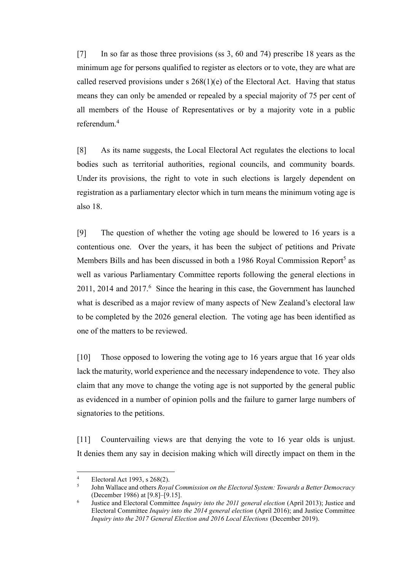[7] In so far as those three provisions (ss 3, 60 and 74) prescribe 18 years as the minimum age for persons qualified to register as electors or to vote, they are what are called reserved provisions under s  $268(1)(e)$  of the Electoral Act. Having that status means they can only be amended or repealed by a special majority of 75 per cent of all members of the House of Representatives or by a majority vote in a public referendum.<sup>4</sup>

[8] As its name suggests, the Local Electoral Act regulates the elections to local bodies such as territorial authorities, regional councils, and community boards. Under its provisions, the right to vote in such elections is largely dependent on registration as a parliamentary elector which in turn means the minimum voting age is also 18.

[9] The question of whether the voting age should be lowered to 16 years is a contentious one. Over the years, it has been the subject of petitions and Private Members Bills and has been discussed in both a 1986 Royal Commission Report<sup>5</sup> as well as various Parliamentary Committee reports following the general elections in 2011, 2014 and  $2017<sup>6</sup>$  Since the hearing in this case, the Government has launched what is described as a major review of many aspects of New Zealand's electoral law to be completed by the 2026 general election. The voting age has been identified as one of the matters to be reviewed.

[10] Those opposed to lowering the voting age to 16 years argue that 16 year olds lack the maturity, world experience and the necessary independence to vote. They also claim that any move to change the voting age is not supported by the general public as evidenced in a number of opinion polls and the failure to garner large numbers of signatories to the petitions.

[11] Countervailing views are that denying the vote to 16 year olds is unjust. It denies them any say in decision making which will directly impact on them in the

Electoral Act 1993, s 268(2).

<sup>5</sup> John Wallace and others *Royal Commission on the Electoral System: Towards a Better Democracy* (December 1986) at [9.8]–[9.15].

<sup>6</sup> Justice and Electoral Committee *Inquiry into the 2011 general election* (April 2013); Justice and Electoral Committee *Inquiry into the 2014 general election* (April 2016); and Justice Committee *Inquiry into the 2017 General Election and 2016 Local Elections* (December 2019).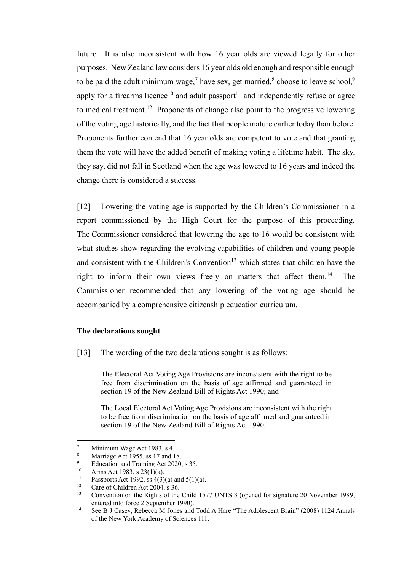future. It is also inconsistent with how 16 year olds are viewed legally for other purposes. New Zealand law considers 16 year olds old enough and responsible enough to be paid the adult minimum wage,<sup>7</sup> have sex, get married,<sup>8</sup> choose to leave school,<sup>9</sup> apply for a firearms licence<sup>10</sup> and adult passport<sup>11</sup> and independently refuse or agree to medical treatment.<sup>12</sup> Proponents of change also point to the progressive lowering of the voting age historically, and the fact that people mature earlier today than before. Proponents further contend that 16 year olds are competent to vote and that granting them the vote will have the added benefit of making voting a lifetime habit. The sky, they say, did not fall in Scotland when the age was lowered to 16 years and indeed the change there is considered a success.

[12] Lowering the voting age is supported by the Children's Commissioner in a report commissioned by the High Court for the purpose of this proceeding. The Commissioner considered that lowering the age to 16 would be consistent with what studies show regarding the evolving capabilities of children and young people and consistent with the Children's Convention<sup>13</sup> which states that children have the right to inform their own views freely on matters that affect them.<sup>14</sup> The Commissioner recommended that any lowering of the voting age should be accompanied by a comprehensive citizenship education curriculum.

### **The declarations sought**

[13] The wording of the two declarations sought is as follows:

The Electoral Act Voting Age Provisions are inconsistent with the right to be free from discrimination on the basis of age affirmed and guaranteed in section 19 of the New Zealand Bill of Rights Act 1990; and

The Local Electoral Act Voting Age Provisions are inconsistent with the right to be free from discrimination on the basis of age affirmed and guaranteed in section 19 of the New Zealand Bill of Rights Act 1990.

 $\frac{7}{8}$  Minimum Wage Act 1983, s 4.

<sup>&</sup>lt;sup>8</sup> Marriage Act 1955, ss 17 and 18.<br><sup>9</sup> Education and Training Act 2020.

<sup>&</sup>lt;sup>9</sup> Education and Training Act 2020, s 35.<br><sup>10</sup> Arms Act 1983 s 23(1)(a)

<sup>&</sup>lt;sup>10</sup> Arms Act 1983, s 23(1)(a).<br><sup>11</sup> Passports Act 1992, ss  $A(3)$ .

<sup>&</sup>lt;sup>11</sup> Passports Act 1992, ss  $4(3)(a)$  and  $5(1)(a)$ .<br><sup>12</sup> Care of Children Act 2004, s 36

<sup>&</sup>lt;sup>12</sup> Care of Children Act 2004, s 36.<br><sup>13</sup> Convention on the Bights of the

<sup>13</sup> Convention on the Rights of the Child 1577 UNTS 3 (opened for signature 20 November 1989, entered into force 2 September 1990).

<sup>&</sup>lt;sup>14</sup> See B J Casey, Rebecca M Jones and Todd A Hare "The Adolescent Brain" (2008) 1124 Annals of the New York Academy of Sciences 111.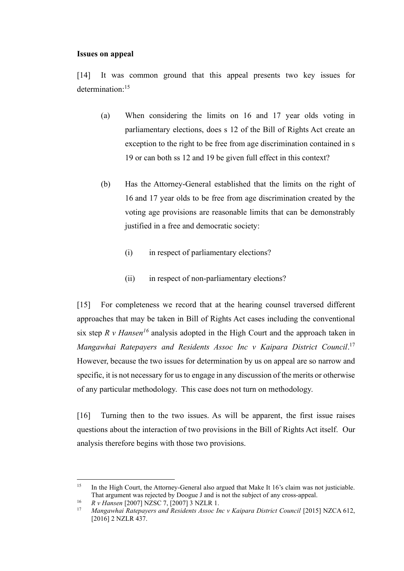#### **Issues on appeal**

[14] It was common ground that this appeal presents two key issues for determination: 15

- (a) When considering the limits on 16 and 17 year olds voting in parliamentary elections, does s 12 of the Bill of Rights Act create an exception to the right to be free from age discrimination contained in s 19 or can both ss 12 and 19 be given full effect in this context?
- (b) Has the Attorney-General established that the limits on the right of 16 and 17 year olds to be free from age discrimination created by the voting age provisions are reasonable limits that can be demonstrably justified in a free and democratic society:
	- (i) in respect of parliamentary elections?
	- (ii) in respect of non-parliamentary elections?

<span id="page-4-0"></span>[15] For completeness we record that at the hearing counsel traversed different approaches that may be taken in Bill of Rights Act cases including the conventional six step *R v Hansen<sup>16</sup>* analysis adopted in the High Court and the approach taken in *Mangawhai Ratepayers and Residents Assoc Inc v Kaipara District Council*. 17 However, because the two issues for determination by us on appeal are so narrow and specific, it is not necessary for us to engage in any discussion of the merits or otherwise of any particular methodology. This case does not turn on methodology.

[16] Turning then to the two issues. As will be apparent, the first issue raises questions about the interaction of two provisions in the Bill of Rights Act itself. Our analysis therefore begins with those two provisions.

<sup>&</sup>lt;sup>15</sup> In the High Court, the Attorney-General also argued that Make It 16's claim was not justiciable. That argument was rejected by Doogue J and is not the subject of any cross-appeal.

<sup>16</sup> *R v Hansen* [2007] NZSC 7, [2007] 3 NZLR 1.

<sup>17</sup> *Mangawhai Ratepayers and Residents Assoc Inc v Kaipara District Council* [2015] NZCA 612, [2016] 2 NZLR 437.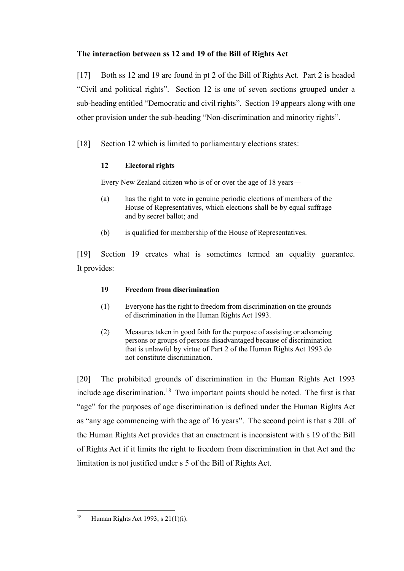# **The interaction between ss 12 and 19 of the Bill of Rights Act**

[17] Both ss 12 and 19 are found in pt 2 of the Bill of Rights Act. Part 2 is headed "Civil and political rights". Section 12 is one of seven sections grouped under a sub-heading entitled "Democratic and civil rights". Section 19 appears along with one other provision under the sub-heading "Non-discrimination and minority rights".

[18] Section 12 which is limited to parliamentary elections states:

# **12 Electoral rights**

Every New Zealand citizen who is of or over the age of 18 years—

- (a) has the right to vote in genuine periodic elections of members of the House of Representatives, which elections shall be by equal suffrage and by secret ballot; and
- (b) is qualified for membership of the House of Representatives.

[19] Section 19 creates what is sometimes termed an equality guarantee. It provides:

# **19 Freedom from discrimination**

- (1) Everyone has the right to freedom from discrimination on the grounds of discrimination in the Human Rights Act 1993.
- (2) Measures taken in good faith for the purpose of assisting or advancing persons or groups of persons disadvantaged because of discrimination that is unlawful by virtue of Part 2 of the Human Rights Act 1993 do not constitute discrimination.

[20] The prohibited grounds of discrimination in the Human Rights Act 1993 include age discrimination.<sup>18</sup> Two important points should be noted. The first is that "age" for the purposes of age discrimination is defined under the Human Rights Act as "any age commencing with the age of 16 years". The second point is that s 20L of the Human Rights Act provides that an enactment is inconsistent with s 19 of the Bill of Rights Act if it limits the right to freedom from discrimination in that Act and the limitation is not justified under s 5 of the Bill of Rights Act.

<sup>&</sup>lt;sup>18</sup> Human Rights Act 1993, s  $21(1)(i)$ .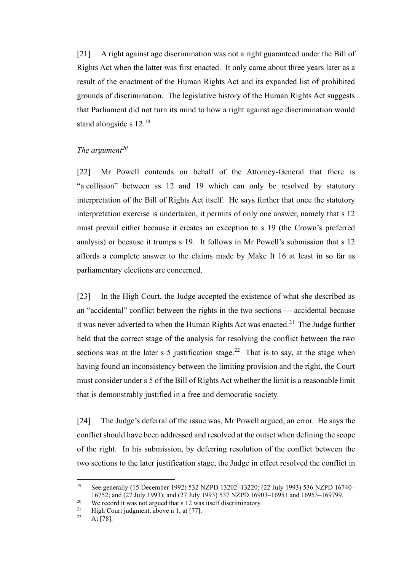[21] A right against age discrimination was not a right guaranteed under the Bill of Rights Act when the latter was first enacted. It only came about three years later as a result of the enactment of the Human Rights Act and its expanded list of prohibited grounds of discrimination. The legislative history of the Human Rights Act suggests that Parliament did not turn its mind to how a right against age discrimination would stand alongside s 12.<sup>19</sup>

### *The argument<sup>20</sup>*

[22] Mr Powell contends on behalf of the Attorney-General that there is "a collision" between ss 12 and 19 which can only be resolved by statutory interpretation of the Bill of Rights Act itself. He says further that once the statutory interpretation exercise is undertaken, it permits of only one answer, namely that s 12 must prevail either because it creates an exception to s 19 (the Crown's preferred analysis) or because it trumps s 19. It follows in Mr Powell's submission that s 12 affords a complete answer to the claims made by Make It 16 at least in so far as parliamentary elections are concerned.

[23] In the High Court, the Judge accepted the existence of what she described as an "accidental" conflict between the rights in the two sections — accidental because it was never adverted to when the Human Rights Act was enacted.<sup>21</sup> The Judge further held that the correct stage of the analysis for resolving the conflict between the two sections was at the later s 5 justification stage.<sup>22</sup> That is to say, at the stage when having found an inconsistency between the limiting provision and the right, the Court must consider under s 5 of the Bill of Rights Act whether the limit is a reasonable limit that is demonstrably justified in a free and democratic society.

[24] The Judge's deferral of the issue was, Mr Powell argued, an error. He says the conflict should have been addressed and resolved at the outset when defining the scope of the right. In his submission, by deferring resolution of the conflict between the two sections to the later justification stage, the Judge in effect resolved the conflict in

<sup>19</sup> See generally (15 December 1992) 532 NZPD 13202–13220; (22 July 1993) 536 NZPD 16740– 16752; and (27 July 1993); and (27 July 1993) 537 NZPD 16903–16951 and 16953–169799.

<sup>&</sup>lt;sup>20</sup> We record it was not argued that s 12 was itself discriminatory.<br><sup>21</sup> High Court indement, above n 1, at [77]

<sup>&</sup>lt;sup>21</sup> High Court judgment, above n 1, at [77].

At [78].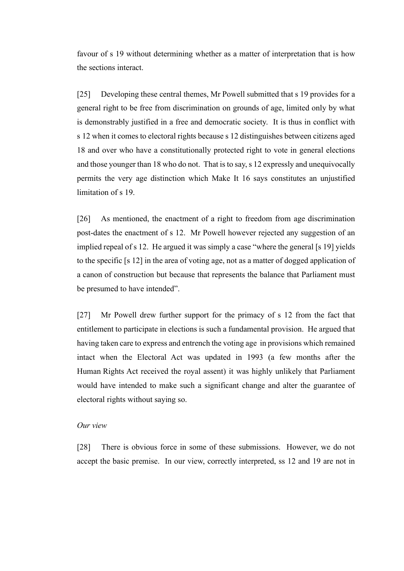favour of s 19 without determining whether as a matter of interpretation that is how the sections interact.

[25] Developing these central themes, Mr Powell submitted that s 19 provides for a general right to be free from discrimination on grounds of age, limited only by what is demonstrably justified in a free and democratic society. It is thus in conflict with s 12 when it comes to electoral rights because s 12 distinguishes between citizens aged 18 and over who have a constitutionally protected right to vote in general elections and those younger than 18 who do not. That is to say, s 12 expressly and unequivocally permits the very age distinction which Make It 16 says constitutes an unjustified limitation of s 19.

[26] As mentioned, the enactment of a right to freedom from age discrimination post-dates the enactment of s 12. Mr Powell however rejected any suggestion of an implied repeal of s 12. He argued it was simply a case "where the general [s 19] yields to the specific [s 12] in the area of voting age, not as a matter of dogged application of a canon of construction but because that represents the balance that Parliament must be presumed to have intended".

[27] Mr Powell drew further support for the primacy of s 12 from the fact that entitlement to participate in elections is such a fundamental provision. He argued that having taken care to express and entrench the voting age in provisions which remained intact when the Electoral Act was updated in 1993 (a few months after the Human Rights Act received the royal assent) it was highly unlikely that Parliament would have intended to make such a significant change and alter the guarantee of electoral rights without saying so.

#### *Our view*

[28] There is obvious force in some of these submissions. However, we do not accept the basic premise. In our view, correctly interpreted, ss 12 and 19 are not in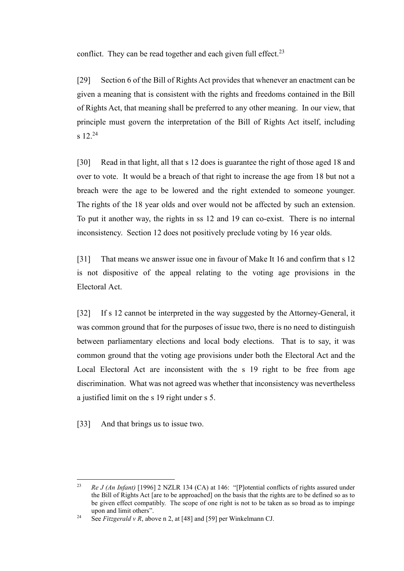conflict. They can be read together and each given full effect.<sup>23</sup>

[29] Section 6 of the Bill of Rights Act provides that whenever an enactment can be given a meaning that is consistent with the rights and freedoms contained in the Bill of Rights Act, that meaning shall be preferred to any other meaning. In our view, that principle must govern the interpretation of the Bill of Rights Act itself, including  $s$  12.<sup>24</sup>

[30] Read in that light, all that s 12 does is guarantee the right of those aged 18 and over to vote. It would be a breach of that right to increase the age from 18 but not a breach were the age to be lowered and the right extended to someone younger. The rights of the 18 year olds and over would not be affected by such an extension. To put it another way, the rights in ss 12 and 19 can co-exist. There is no internal inconsistency. Section 12 does not positively preclude voting by 16 year olds.

[31] That means we answer issue one in favour of Make It 16 and confirm that s 12 is not dispositive of the appeal relating to the voting age provisions in the Electoral Act.

[32] If s 12 cannot be interpreted in the way suggested by the Attorney-General, it was common ground that for the purposes of issue two, there is no need to distinguish between parliamentary elections and local body elections. That is to say, it was common ground that the voting age provisions under both the Electoral Act and the Local Electoral Act are inconsistent with the s 19 right to be free from age discrimination. What was not agreed was whether that inconsistency was nevertheless a justified limit on the s 19 right under s 5.

[33] And that brings us to issue two.

<sup>23</sup> *Re J (An Infant)* [1996] 2 NZLR 134 (CA) at 146: "[P]otential conflicts of rights assured under the Bill of Rights Act [are to be approached] on the basis that the rights are to be defined so as to be given effect compatibly. The scope of one right is not to be taken as so broad as to impinge upon and limit others".

<sup>&</sup>lt;sup>24</sup> See *Fitzgerald v R*, above [n 2,](#page-1-0) at [48] and [59] per Winkelmann CJ.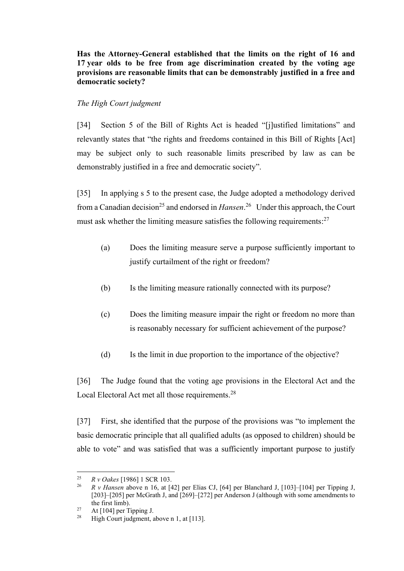**Has the Attorney-General established that the limits on the right of 16 and 17 year olds to be free from age discrimination created by the voting age provisions are reasonable limits that can be demonstrably justified in a free and democratic society?**

## *The High Court judgment*

[34] Section 5 of the Bill of Rights Act is headed "[j]ustified limitations" and relevantly states that "the rights and freedoms contained in this Bill of Rights [Act] may be subject only to such reasonable limits prescribed by law as can be demonstrably justified in a free and democratic society".

[35] In applying s 5 to the present case, the Judge adopted a methodology derived from a Canadian decision<sup>25</sup> and endorsed in *Hansen*.<sup>26</sup> Under this approach, the Court must ask whether the limiting measure satisfies the following requirements:<sup>27</sup>

- (a) Does the limiting measure serve a purpose sufficiently important to justify curtailment of the right or freedom?
- (b) Is the limiting measure rationally connected with its purpose?
- (c) Does the limiting measure impair the right or freedom no more than is reasonably necessary for sufficient achievement of the purpose?
- (d) Is the limit in due proportion to the importance of the objective?

[36] The Judge found that the voting age provisions in the Electoral Act and the Local Electoral Act met all those requirements.<sup>28</sup>

[37] First, she identified that the purpose of the provisions was "to implement the basic democratic principle that all qualified adults (as opposed to children) should be able to vote" and was satisfied that was a sufficiently important purpose to justify

<sup>25</sup> *R v Oakes* [1986] 1 SCR 103.

<sup>26</sup> *R v Hansen* above n [16,](#page-4-0) at [42] per Elias CJ, [64] per Blanchard J, [103]–[104] per Tipping J, [203]–[205] per McGrath J, and [269]–[272] per Anderson J (although with some amendments to the first limb).

<sup>&</sup>lt;sup>27</sup> At [104] per Tipping J.

<sup>&</sup>lt;sup>28</sup> High Court judgment, above n [1,](#page-1-1) at [113].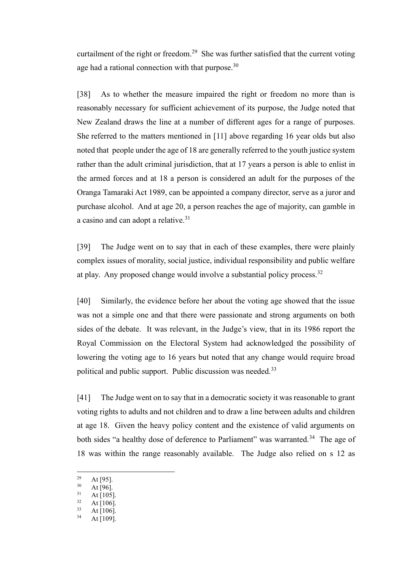curtailment of the right or freedom.<sup>29</sup> She was further satisfied that the current voting age had a rational connection with that purpose.<sup>30</sup>

[38] As to whether the measure impaired the right or freedom no more than is reasonably necessary for sufficient achievement of its purpose, the Judge noted that New Zealand draws the line at a number of different ages for a range of purposes. She referred to the matters mentioned in [11] above regarding 16 year olds but also noted that people under the age of 18 are generally referred to the youth justice system rather than the adult criminal jurisdiction, that at 17 years a person is able to enlist in the armed forces and at 18 a person is considered an adult for the purposes of the Oranga Tamaraki Act 1989, can be appointed a company director, serve as a juror and purchase alcohol. And at age 20, a person reaches the age of majority, can gamble in a casino and can adopt a relative.<sup>31</sup>

[39] The Judge went on to say that in each of these examples, there were plainly complex issues of morality, social justice, individual responsibility and public welfare at play. Any proposed change would involve a substantial policy process.<sup>32</sup>

[40] Similarly, the evidence before her about the voting age showed that the issue was not a simple one and that there were passionate and strong arguments on both sides of the debate. It was relevant, in the Judge's view, that in its 1986 report the Royal Commission on the Electoral System had acknowledged the possibility of lowering the voting age to 16 years but noted that any change would require broad political and public support. Public discussion was needed.<sup>33</sup>

[41] The Judge went on to say that in a democratic society it was reasonable to grant voting rights to adults and not children and to draw a line between adults and children at age 18. Given the heavy policy content and the existence of valid arguments on both sides "a healthy dose of deference to Parliament" was warranted.<sup>34</sup> The age of 18 was within the range reasonably available. The Judge also relied on s 12 as

 $\frac{29}{30}$  At [95].

At  $[96]$ .

 $31$  At [105].

 $32 \text{ At } [106].$ <br> $33 \text{ At } [106].$ 

At  $[106]$ .

 $34$  At [109].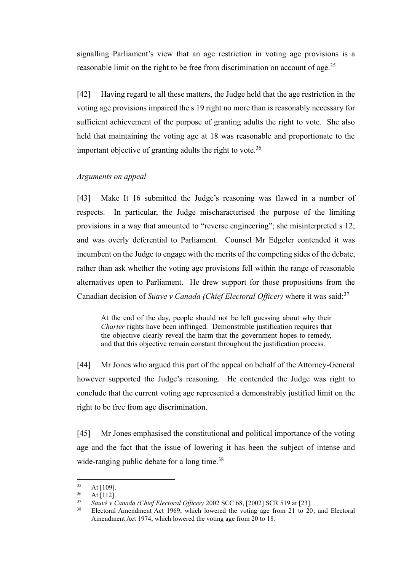signalling Parliament's view that an age restriction in voting age provisions is a reasonable limit on the right to be free from discrimination on account of age.<sup>35</sup>

[42] Having regard to all these matters, the Judge held that the age restriction in the voting age provisions impaired the s 19 right no more than is reasonably necessary for sufficient achievement of the purpose of granting adults the right to vote. She also held that maintaining the voting age at 18 was reasonable and proportionate to the important objective of granting adults the right to vote.<sup>36</sup>

### *Arguments on appeal*

[43] Make It 16 submitted the Judge's reasoning was flawed in a number of respects. In particular, the Judge mischaracterised the purpose of the limiting provisions in a way that amounted to "reverse engineering"; she misinterpreted s 12; and was overly deferential to Parliament. Counsel Mr Edgeler contended it was incumbent on the Judge to engage with the merits of the competing sides of the debate, rather than ask whether the voting age provisions fell within the range of reasonable alternatives open to Parliament. He drew support for those propositions from the Canadian decision of *Suave v Canada (Chief Electoral Officer)* where it was said: 37

At the end of the day, people should not be left guessing about why their *Charter* rights have been infringed. Demonstrable justification requires that the objective clearly reveal the harm that the government hopes to remedy, and that this objective remain constant throughout the justification process.

[44] Mr Jones who argued this part of the appeal on behalf of the Attorney-General however supported the Judge's reasoning. He contended the Judge was right to conclude that the current voting age represented a demonstrably justified limit on the right to be free from age discrimination.

[45] Mr Jones emphasised the constitutional and political importance of the voting age and the fact that the issue of lowering it has been the subject of intense and wide-ranging public debate for a long time.<sup>38</sup>

 $35$  At [109].

 $\frac{36}{37}$  At [112].

<sup>37</sup> *Sauvé v Canada (Chief Electoral Officer)* 2002 SCC 68, [2002] SCR 519 at [23].

Electoral Amendment Act 1969, which lowered the voting age from 21 to 20; and Electoral Amendment Act 1974, which lowered the voting age from 20 to 18.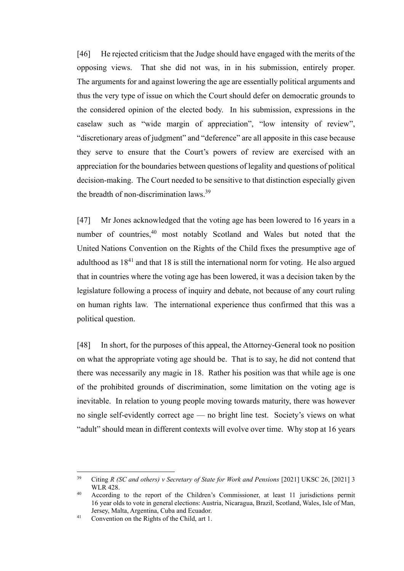[46] He rejected criticism that the Judge should have engaged with the merits of the opposing views. That she did not was, in in his submission, entirely proper. The arguments for and against lowering the age are essentially political arguments and thus the very type of issue on which the Court should defer on democratic grounds to the considered opinion of the elected body. In his submission, expressions in the caselaw such as "wide margin of appreciation", "low intensity of review", "discretionary areas of judgment" and "deference" are all apposite in this case because they serve to ensure that the Court's powers of review are exercised with an appreciation for the boundaries between questions of legality and questions of political decision-making. The Court needed to be sensitive to that distinction especially given the breadth of non-discrimination laws.<sup>39</sup>

[47] Mr Jones acknowledged that the voting age has been lowered to 16 years in a number of countries,<sup>40</sup> most notably Scotland and Wales but noted that the United Nations Convention on the Rights of the Child fixes the presumptive age of adulthood as  $18<sup>41</sup>$  and that 18 is still the international norm for voting. He also argued that in countries where the voting age has been lowered, it was a decision taken by the legislature following a process of inquiry and debate, not because of any court ruling on human rights law. The international experience thus confirmed that this was a political question.

[48] In short, for the purposes of this appeal, the Attorney-General took no position on what the appropriate voting age should be. That is to say, he did not contend that there was necessarily any magic in 18. Rather his position was that while age is one of the prohibited grounds of discrimination, some limitation on the voting age is inevitable. In relation to young people moving towards maturity, there was however no single self-evidently correct age — no bright line test. Society's views on what "adult" should mean in different contexts will evolve over time. Why stop at 16 years

<sup>39</sup> Citing *R (SC and others) v Secretary of State for Work and Pensions* [2021] UKSC 26, [2021] 3 WLR 428.

<sup>40</sup> According to the report of the Children's Commissioner, at least 11 jurisdictions permit 16 year olds to vote in general elections: Austria, Nicaragua, Brazil, Scotland, Wales, Isle of Man, Jersey, Malta, Argentina, Cuba and Ecuador.

<sup>41</sup> Convention on the Rights of the Child, art 1.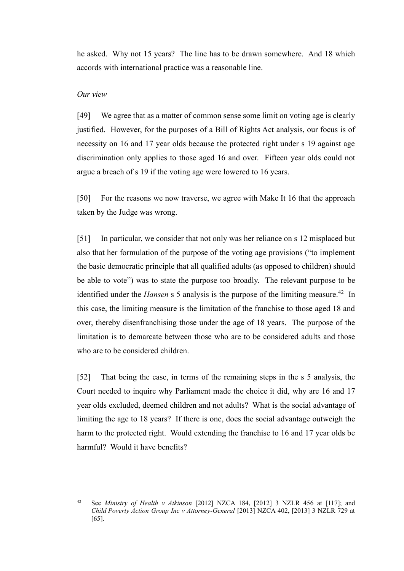he asked. Why not 15 years? The line has to be drawn somewhere. And 18 which accords with international practice was a reasonable line.

#### *Our view*

[49] We agree that as a matter of common sense some limit on voting age is clearly justified. However, for the purposes of a Bill of Rights Act analysis, our focus is of necessity on 16 and 17 year olds because the protected right under s 19 against age discrimination only applies to those aged 16 and over. Fifteen year olds could not argue a breach of s 19 if the voting age were lowered to 16 years.

[50] For the reasons we now traverse, we agree with Make It 16 that the approach taken by the Judge was wrong.

<span id="page-13-0"></span>[51] In particular, we consider that not only was her reliance on s 12 misplaced but also that her formulation of the purpose of the voting age provisions ("to implement the basic democratic principle that all qualified adults (as opposed to children) should be able to vote") was to state the purpose too broadly. The relevant purpose to be identified under the *Hansen* s 5 analysis is the purpose of the limiting measure. <sup>42</sup> In this case, the limiting measure is the limitation of the franchise to those aged 18 and over, thereby disenfranchising those under the age of 18 years. The purpose of the limitation is to demarcate between those who are to be considered adults and those who are to be considered children.

[52] That being the case, in terms of the remaining steps in the s 5 analysis, the Court needed to inquire why Parliament made the choice it did, why are 16 and 17 year olds excluded, deemed children and not adults? What is the social advantage of limiting the age to 18 years? If there is one, does the social advantage outweigh the harm to the protected right. Would extending the franchise to 16 and 17 year olds be harmful? Would it have benefits?

<sup>42</sup> See *Ministry of Health v Atkinson* [2012] NZCA 184, [2012] 3 NZLR 456 at [117]; and *Child Poverty Action Group Inc v Attorney-General* [2013] NZCA 402, [2013] 3 NZLR 729 at [65].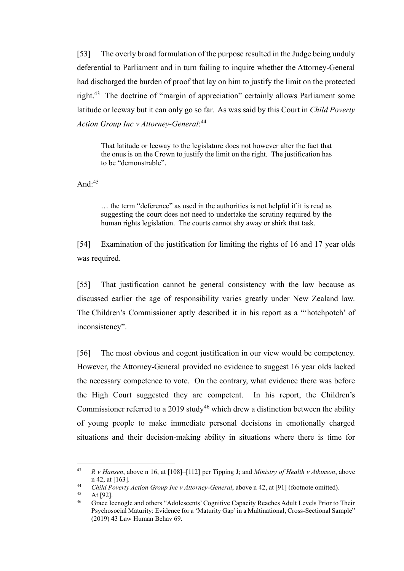[53] The overly broad formulation of the purpose resulted in the Judge being unduly deferential to Parliament and in turn failing to inquire whether the Attorney-General had discharged the burden of proof that lay on him to justify the limit on the protected right.<sup>43</sup> The doctrine of "margin of appreciation" certainly allows Parliament some latitude or leeway but it can only go so far. As was said by this Court in *Child Poverty Action Group Inc v Attorney-General*: 44

That latitude or leeway to the legislature does not however alter the fact that the onus is on the Crown to justify the limit on the right. The justification has to be "demonstrable".

And: $45$ 

… the term "deference" as used in the authorities is not helpful if it is read as suggesting the court does not need to undertake the scrutiny required by the human rights legislation. The courts cannot shy away or shirk that task.

[54] Examination of the justification for limiting the rights of 16 and 17 year olds was required.

[55] That justification cannot be general consistency with the law because as discussed earlier the age of responsibility varies greatly under New Zealand law. The Children's Commissioner aptly described it in his report as a "'hotchpotch' of inconsistency".

[56] The most obvious and cogent justification in our view would be competency. However, the Attorney-General provided no evidence to suggest 16 year olds lacked the necessary competence to vote. On the contrary, what evidence there was before the High Court suggested they are competent. In his report, the Children's Commissioner referred to a 2019 study<sup>46</sup> which drew a distinction between the ability of young people to make immediate personal decisions in emotionally charged situations and their decision-making ability in situations where there is time for

<sup>43</sup> *R v Hansen*, above n [16,](#page-4-0) at [108]–[112] per Tipping J; and *Ministry of Health v Atkinson*, above n [42,](#page-13-0) at [163].

<sup>&</sup>lt;sup>44</sup> *Child Poverty Action Group Inc v Attorney-General*, above n [42,](#page-13-0) at [91] (footnote omitted).

 $45$  At [92].

<sup>46</sup> Grace Icenogle and others "Adolescents' Cognitive Capacity Reaches Adult Levels Prior to Their Psychosocial Maturity: Evidence for a 'Maturity Gap'in a Multinational, Cross-Sectional Sample" (2019) 43 Law Human Behav 69.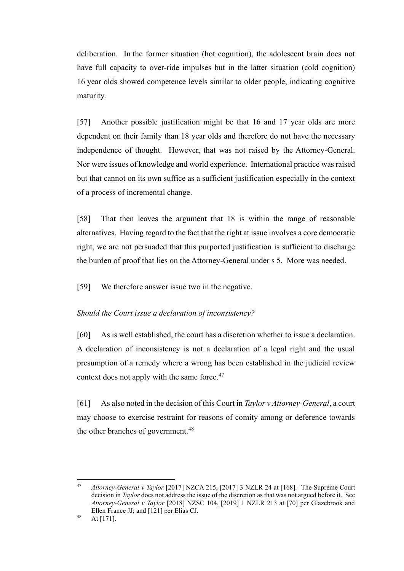deliberation. In the former situation (hot cognition), the adolescent brain does not have full capacity to over-ride impulses but in the latter situation (cold cognition) 16 year olds showed competence levels similar to older people, indicating cognitive maturity.

[57] Another possible justification might be that 16 and 17 year olds are more dependent on their family than 18 year olds and therefore do not have the necessary independence of thought. However, that was not raised by the Attorney-General. Nor were issues of knowledge and world experience. International practice was raised but that cannot on its own suffice as a sufficient justification especially in the context of a process of incremental change.

[58] That then leaves the argument that 18 is within the range of reasonable alternatives. Having regard to the fact that the right at issue involves a core democratic right, we are not persuaded that this purported justification is sufficient to discharge the burden of proof that lies on the Attorney-General under s 5. More was needed.

[59] We therefore answer issue two in the negative.

### *Should the Court issue a declaration of inconsistency?*

[60] As is well established, the court has a discretion whether to issue a declaration. A declaration of inconsistency is not a declaration of a legal right and the usual presumption of a remedy where a wrong has been established in the judicial review context does not apply with the same force.<sup>47</sup>

[61] As also noted in the decision of this Court in *Taylor v Attorney-General*, a court may choose to exercise restraint for reasons of comity among or deference towards the other branches of government.<sup>48</sup>

<sup>47</sup> *Attorney-General v Taylor* [2017] NZCA 215, [2017] 3 NZLR 24 at [168]. The Supreme Court decision in *Taylor* does not address the issue of the discretion as that was not argued before it. See *Attorney-General v Taylor* [2018] NZSC 104, [2019] 1 NZLR 213 at [70] per Glazebrook and Ellen France JJ; and [121] per Elias CJ.

<sup>48</sup> At [171].